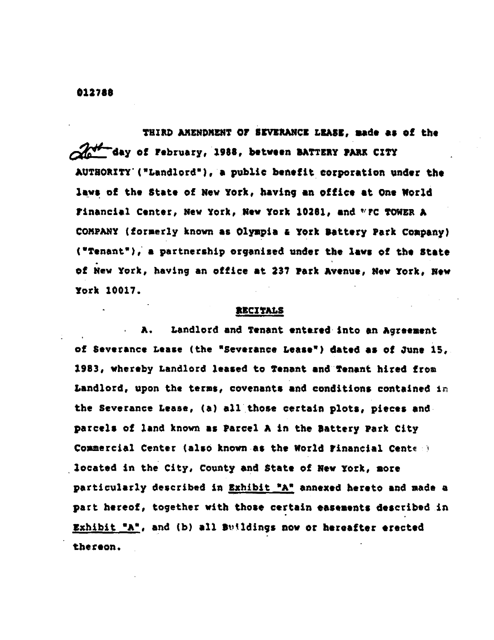**0**12**7**8**8**

THII\_**E**N**D**M**EN**T **O**F **SEVERANCELBA**S**|, ma**de **as of** t**he da**y **o**f Fe**b**ru**s**ry, 19**88, be**t**w**ee**n I**\_**TTEI**Y **P**\_ **C**I**T**Y A**U**TU**O***R*XT**y'**(**w**L**a**n**d**lo*t***d'),**a **p**u**b**\_*i***e b**e**n**efit **corpo**ra**tio**n u**nde**r t**h**e la**ys** o**f th**e **State of New York, having** a**n off***i***ce at On**e **Wo***r*l**d Financ***i***al C**e**nte**r*,* **Ne**w Y**o**r**k, H**e**y York 10201**, **end ,**\_**rc TOWERA CO**M**PANY(**f**o**r**me**r**ly known** a**s Olympi**a **t York B**a**tte**ry **Pa**r**k Comp**an**y) ('**T**ena**n**t')**, a **p**ar**tne**rs**h**i**p o**r**ga**ni**sed under the** l**ay**s **o**f **th**e **st**at**e of Ne**w Y**o**r**k, having** a**n o**ff**ice** at 2**37** Pa**rk Av**e**nu**e**, N**ew Y**or**k, **N**ew Y**o**r**k** 10017.

#### *,I***zczT s**

A. **La**n**dlo**rd a**nd T**e**nant** e**nt**Lre**dinto an Ag**ree**m**en**t o**f **Sever**a**nce** L**ease (**th**e "Sev**er**ance** L**ease**'**) d**a**ted** a**s o**f Ju**ne** 1**5, 198**3, **whereby** L**andlord leased** t**o Ten**a**nt endTen**a**n**t **hi**r**ed f**rom **L**a**nd**l**ord, upon the term**s*,* **covenants** a**nd cond**i**t**io**n**s **con**tai**ned** *l*\_ **the Sever**a**nce L**ea**s**e**, (**a**) 811 thos**e **ce**rtain **plots***,* **pi**e**c**e**s and. parcels of land kn**o**wn as** P**a**r**cel A i**n t**he** B**atte**ry **Pa**rk **City Cosmerci**al C**en**t**e**r **(also known,**a**s th**e **World Financial Cent**\_ **.**\_ **located** in the City, County and **State of Nay** Y**o**r**k, no**r**a p**ar**t**i**cu**larly **described** in **Exhibit sAW** a**nnex**e**d he**ret**o an**d **n**a**de** a **pact** *h***e**r**eof**, t**ogethe**r **with** t**ho**s**e cer**ta**in e**a**S**e**n**e**n**t**s desccib**e**d***t***n \_xhibi\_.'A'**, a**nd (b)** al**l B**\_**ld**i**ng**s **nov o**r **hereafter erec**te**d** th**e**r**eo**n**,**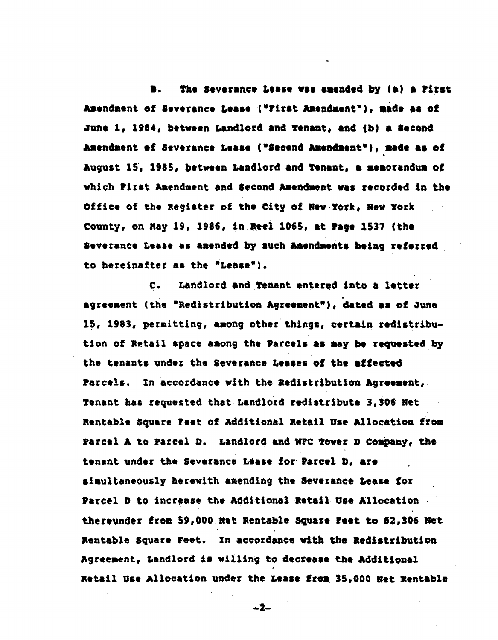**D**. **T**h**e** Se**v**eran**c**e L**e**nse **v**a**n am**e**nded b**\_ **(**a**) a Firs**t J*u*|en**dm**ent **ot Se**ve**r**a**n**ce Lease **(e**rir**s**t**f***U***s**e**nda**ent**U)**t **made** a**8 o**f *o***u**ne 1**,** 1**984**e **b**etw**een** La**nd**l**ord** a**nd Te**n**an**t**,** an**d (b) 8 Second Am**en**dm**en**t** of **S**eve**r**ance Lea**s**e**(=**S**e**c**ond**A**u**en**dn**e**n**t**e), made** a**s o**\_ August 15, 1985, between Landlord and Tenant, a memorandum of **wh**ic**h** Fir**s**t \_**e**n**dmen**t an**d Se**c**ond** \_**u**e**ndnen**t **yea** rec**o**r**d**e**d** A**n** t**h**e **O**ff**i**c**e o**f t**he leg**i**ate**r **o**f **the** City **o**f **N**e**w Y**or**k**, **New** Y**0**r**k Co**u**nty, on Hay 19, 1986, in R**e**el 1**0**6S, a**t P**age 1537 (the S**evera**n**ce L**e**a**s**e as a**m**e**nded** *b*y **s**uc**h kn**en**dnents b**ei**ng r**eferre**d t**o h**e**r**e**inaf**ter** a**s t**h**e eL**ea**s**e**")**.

**C.** Lan**dlo**r**d** an**d Ten**a**n**t en**te**r**e**d i**n**t**o** a l**e**t**te**r **a**gr**eeme**n**t (the "Redistribut***i***on** &**g**r**eene**nt**e)**, **d**at**e**d as **ot** *0***use** 15, 1983, permitting, among other things, certain redistribut£**on of** B**et**a**il** sp**ace a**m**ong the Pa**r**cel**s **a**s **may***b***e** r**eque**ste**d***:***b**y **th**e **t**e**n**a**nts u**n**d**er **th**e **S**eve**rance Le**a**s**e**s o**\_ **th**e affe**ct**e**d** Par**c**e**ls**. I**n** a**cco**r**d**a**nc**e **w**i**th** t**he** \_e**di**s**t**\_**lbut£on&g**r**eement**w **T**e**na***n***t h**as re**qu**est**ed** t**h**a**t L**a**nd**l**o**rd **r**e**di**st**r**i**b**u**t**e **3,306 N**et **R**enta**bl**e **Squ**a**re** Fee**t o**f **Addi**t*l***on**a**ll**eta**il Use** J\_**llocatio**n **from Parcel** A **to** P**a**r**cel D.** Lan**dlo**r**d** a**nd WFC Towe**r **D Conpan**yt t*h***e tenant under** t**he Severance Le**as**e fo**r P**a**r**ce**l **D**, ar**e s**i**mult**a**n**e**ous**ly **h**ere**w**i**th** a**mending the Sev**era**nc**e **L**ea**s**e **tot P**ar**cel D to incre**a**se** t**he &ddition**al **Re**t**a**i**l Use Alloca**ti**on ther**e**un**d**e**r fr**om Sg,000Ne**\_ **Re**n**tabl**e S**qu**are he**r** t**o** 6**2,306Ne**t **R**e**nt**a**ble** S**qua**r**e Fee**t**.** x**n** a**cco**r**d**a**nce with the Red**i**s**tr*i***bu**ti**on** A**gree**m**e**n**t,** La**nd**l**o**r**d** *i*s **w***i*l**ling to d**ecrease **th**e**&ddition**al n**et**ai**l U**se A**lloc**a**t**i**on unde***r* t**he** \_ea**s**e fr**om** 35,000 Net **R**e**nt**a**b**l**e**

 $-2-$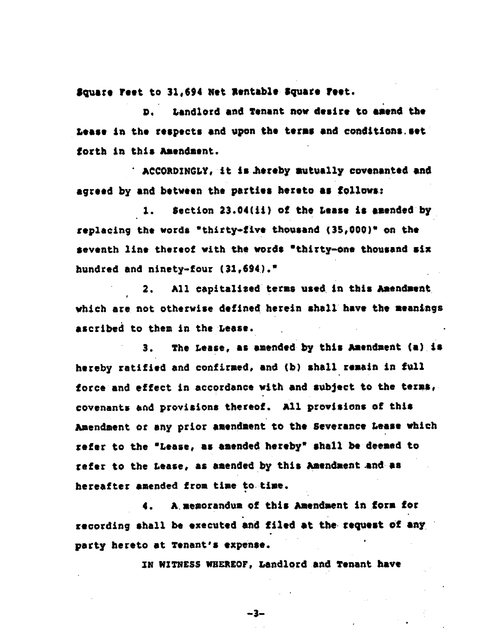**S**q**u**are fee**t** to **31**,**6**9**4** Net le**nt**ab**l**e.Sq**u**are fee**t**.

**n**. L**andl**o**rd** an**d T**e**n**a**nt nov d**e**sir**e t**o** a**m**e**nd th**e **L**ea**s**e **t**n **th**e re**s**pec**t**s an**d upon** t**h**e ter**ns** a**nd** c**onditio**ns.**s**e**t** f**o**rt**h An** this **Am**en**d**men**t.**

**A¢CORDIN**GL**Y**,it i**s** \_e**r**e**b**y**n**utua**lly cov**e**n**a**n**te**d** a**nd** a**g**ree**d** by a**nd b**e**t**wee**n t**he parties **h**eret**o a**s f**ollow**s:

**1. Se**c**t**i**on** 23.**04[**L1**) o**f **th**e Leas**e** i**s amended by** rep**l**ac*/***ng th**e w**o**r**ds "th***i*r**ty**°f**iv**e t**ho**usan**d (3S**\_**000)" on th**e s**e**ve**nth l**ine t**he**re**o**f **v**i**t**h t**he ya**r**d8 "th**ir**ty**-**on**e t**ho**us**an**d si**x hu**n**d**r**e**d **an**d **ninet**y-f**ou**r **(31,694).\***

2. **All cap**i**t**a**l**i**s**e**d** t**e**r**m**s **us**e**d i**n **th**t**a**\_**t**en**dnen**t *I* **vhtch** ar**e not oth**e**rwis**e **d**e**fin**e**d h**er**e**i**n sh**a**ll have th**e **m**ea**n**i**ngs** a**s**c**ribed** t**o th**en **in th**e **Lease.**

**3**. **The L**ea**s**e**,** a**s** a**m**e**nded b**y t**h**is \_**t**e**ndnent (**.,**)**.is **h**e**reby r**a**tifi**e**d** a**nd co**nf**i**rm**ed,** a**nd (b) sh**a**ll r**em**a**in **in full fa**r**ce** an**d effect** i**n** a**ccord**a**nc**e wi**th** a**nd sub**je**ct** t**o** t**h**e ter**ns***,* **co**v**enan**ts a\_**d** provi**s**i**ons ther**e**of.** All provisions of t**h**is */*\_**endm**e**nt a***t* **any prior** ame**ndm**e**n**t t**o th**e **S**e**v**era**nc**e L**eas**e **whic***h r*e**fer to the "**Lea**se,** a**s** am**ended h**e**r**e**by" sh**a**ll b**o**de.ned to** re**f**er **to the** Lea**se**, a**s a**me**n**de**d b**y **th**i**s** \_**a**e**ndnen**t **.**a**nd** a**s hereafter** ame**nded f**r**om time to t**im**e.**

**4. &**.*,***me**m**o**r**andum** o**f** t**hts** A**u**e**n**d**nen**t i**n forn fo**r re**co**r**d**i**ng sh**a**ll be** e**x**ec**u**ted an**d f***i***l**e**d** at **the r**e**qu**e**st Of** a**ny** p**a**r**t**y **he**r**eto at T**e**n**a**nt***'***s** e**xpense.**

X**N W**X**TNESS**\_F**J**\_**EOF**, **L**a**ndlo**r**d** a**nd T**e**n**a**n**t **h**a**v**e

o

"3**--**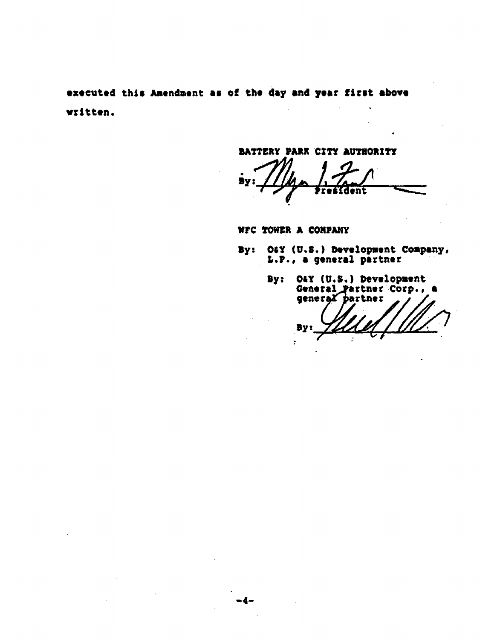executed this Amendment as of the day and year first above  $\ddot{\phantom{a}}$ written.

BATTERY PARK CITY AUTHORITY

By ги

WFC TOWER A COMPANY

- By: Off (U.S.) Development Company, L.P., a general partner
	- By: O&Y (U.S.) Development General Partner Corp.,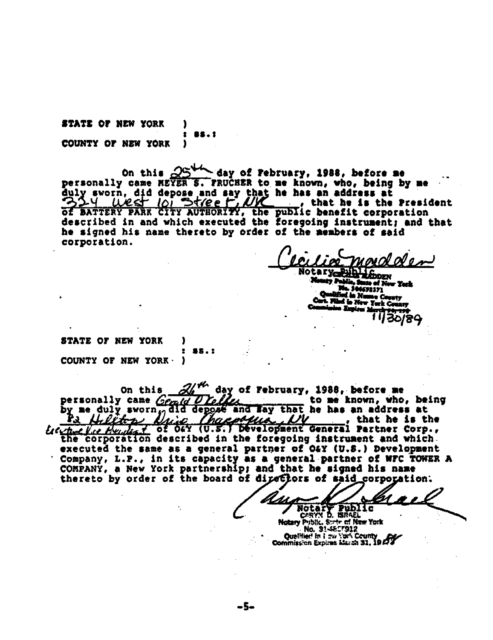STATE OF NEW YORK COUNTY OF NEW YORK 1

On this  $25^{44}$  day of February, 1988, before me personally came MEYER S. FRUCHER to me known, who, being by me duly sworn, did depose and say that he has an address at 334 West Toi Street, NY that he is the President Barread \_\_\_\_\_, that he is the President described in and which executed the foregoing instrument; and that he signed his name thereto by order of the members of said corporation.

**Linney** tte of New York 692371 i in Ne Mu Ca Turk C

STATE OF NEW YORK **SS.I** COUNTY OF NEW YORK D

day of February, 1988, before me On this personally came Gened to me known, who, being and Eay that he has an address at  $\frac{duly}{dt}$ , sworn $\frac{u}{t}$ did obf<u>us</u> UV -, that he is the tre the final of OFY (U.S.) bevelopment General Partner Corp., the corporation described in the foregoing instrument and which. executed the same as a general partner of O&Y (U.S.) Development Company, L.P., in its capacity as a general partner of WFC TOWER A COMPANY, a New York partnership; and that he signed his name thereto by order of the board of directors of said corporation.

-5-

Z4. Notary Public<br>CARYN D. BRAEL

ry Public. State of New York No. 31-4657912 Ouelilied in I aw York County Commission Expires March 31, 19 27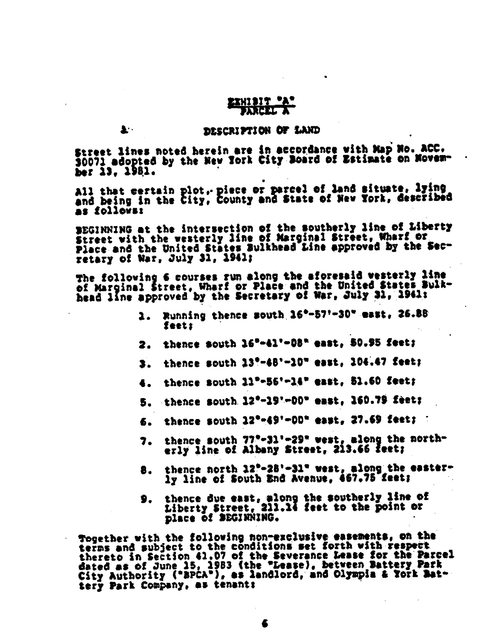# EXHIBIT \*/ **FARE AFTA**

上一

#### DESCRIPTION OF LAND

Street lines noted herein are in accordance with Map No. ACC. 30071 adopted by the New York City Board of Estimate on November 13. 1981.

All that certain plot, piece or parcel of land situate, lying<br>and being in the City, County and State of New York, described as follows:

BEGINNING at the intersection of the southerly line of Liberty<br>Street with the vesterly line of Marginal Street, Wharf or Place and the United States Bulkhead Line approved by the Secretary of War, July 31, 1941;

The following 6 courses run along the aforesaid vesterly line of Marginal Street, Wharf or Place and the United States Bulkhead line approved by the Secretary of War, July 31, 1941:

- 1. Running thence south 16°-57'-30" east, 26.88 feet:
- thence south 16°-41'-08" east. 50.95 feet: 2.
- thence south 13°-48'-10" east, 104.47 feet; 3.
- thence south 11"-56'-14" east. 51.60 feet; 4.
- thence south 12°-19'-00" east, 160.79 feet: 5.
- thence south 12<sup>0</sup>-49'-00" east, 27.69 feet; 6.
- 7. thence south 77°-31'-29" west, along the northerly line of Albany Street, 213.66 feet;
- thence north 12°-28'-31" west, along the easter-8. ly line of South End Avenue, 467.75 feet;
- thence due east, along the southerly line of<br>Liberty Street, 211.14 feet to the point or place of BEGINNING.

Together with the following non-exclusive easements, on the terns and subject to the conditions set forth with respect thereto in Section 41.07 of the Severance Lease for the Parcel dated as of June 15, 1983 (the "Lease), between Battery Park<br>City Authority ("BPCA"), as landlord, and Olympia & York Battery Park Company, as tenant: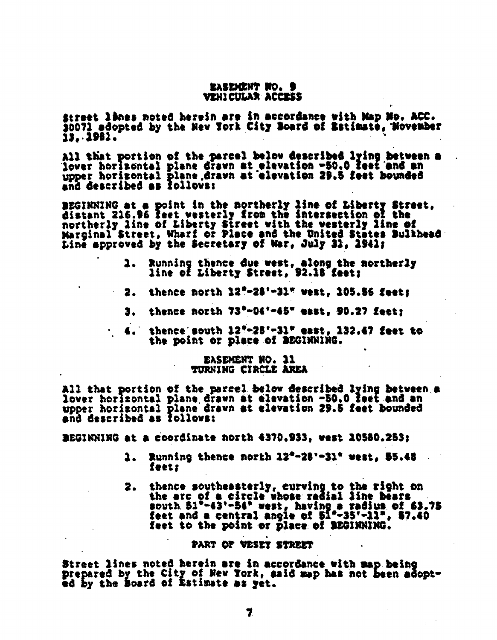## EASEMENT NO. 9 VEHI CULAR ACCESS

Street lines noted herein are in accordance with Map No. ACC.<br>30071 adopted by the New York City Board of Estimate, Wovember 13. 1981.

All that portion of the parcel below described lying between a lover horizontal plane drawn at elevation -50.0 feet and an upper horizontal plane drawn at elevation 29.5 feet bounded and described as follows:

BEGINNING at a point in the northerly line of Liberty Street,<br>distant 216.96 feet westerly from the intersection of the northerly line of Liberty Street with the westerly line of<br>Marginal Street, Wharf or Place and the United States Bulkhead Line approved by the Secretary of War, July 31, 1941;

- Running thence due west, along the northerly 1. . line of Liberty Street, 92.18 feet;
- thence north 12"-28"-31" west, 105.56 feet: 2.
- thence north 73°-04'-45" east, 90.27 feet: 3.
- $4.$  thence south  $12"$ -28'-31" east. 132.47 feet to the point or place of BEGINNING.

### EASEMENT NO. 11 TURNING CIRCLE AREA

All that portion of the parcel below described lying between a lover horizontal plane drawn at elevation -50.0 feet and an upper horizontal plane drawn at elevation 29.5 feet bounded and described as follows:

BEGINNING at a coordinate north 4370.933, west 10580.253:

- Running thence north 12°-28'-31" west, 55.48 1. feet:
- thence southeasterly, curving to the right on<br>the arg of a circle whose radial line bears 2. south 51°-43'-54" west, having a radius of 63.75<br>feet and a central angle of 51°-35'-11", 57.40 feet to the point or place of BEGINNING.

### PART OF VESET STREET

Street lines noted herein are in accordance with map being prepared by the City of New York, said map has not been adopted by the Board of Estimate as yet.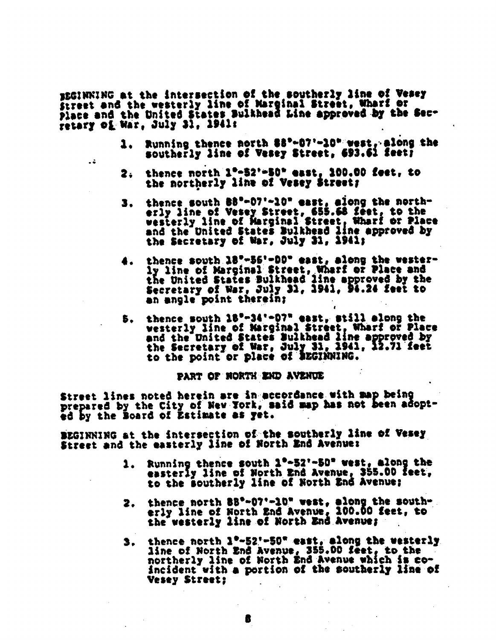EEGINNING at the intersection of the southerly line of Vesey Street and the westerly line of Marginal Street, Wharf or place and the United States Bulkhead Line approved by the Sec-<br>retary of War, July 31, 1941:

44

- Running thence north \$8°-07'-10" west, along the southerly line of Vesey Street, 693.61 feet?
- thence north 1°-52'-50" east, 100.00 feet, to 2. the northerly line of Vesey Street;
- thence south 88°-07'-10" east, along the north-З. erly line of Vesey Street, 655.68 feet, to the<br>westerly line of Marginal Street, Wharf or Place<br>and the United States Bulkhead line approved by the Secretary of War, July 31, 1941;
- thence south 18°-56'-00" east, along the wester-<br>ly line of Marginal Street, Wharf or Place and<br>the United States Bulkhead line approved by the Secretary of War, July 31, 1941, 94.24 feet to an angle point therein:
- thence south 18°-34'-07" east, still along the 5. vesterly line of Marginal Street, Wharf or Place<br>and the United States Bulkhead line approved by<br>the Secretary of War, July 31, 1941, 12.71 feet to the point or place of BEGINNING.

PART OF NORTH END AVENUE

Street lines noted herein are in accordance with map being prepared by the City of New York, said map has not been adopted by the Board of Estimate as yet.

BEGINNING at the intersection of the southerly line of Vesey Street and the easterly line of North End Avenue:

- Running thence south 1°-52'-50" west, along the easterly line of North End Avenue, 355.00 feet, to the southerly line of North End Avenue;
- 2. thence north 88°-07'-10" west, along the southerly line of North End Avenue, 100.00 feet, to the westerly line of North End Avenue;
- thence north 1°-52'-50" east, along the westerly З. line of North End Avenue, 355.00 feet, to the northerly line of North End Avenue which is coincident with a portion of the southerly line of Vesey Street;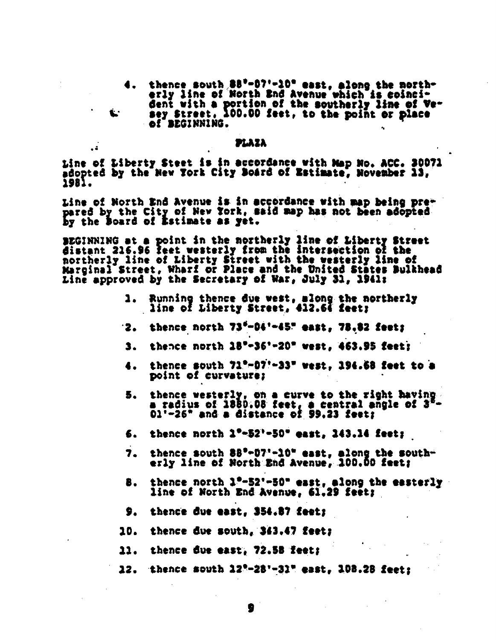thence south 88°-07'-10° east, along the morth-<br>erly line of North End Avenue which is coinci-4. dent with a portion of the southerly line of Ve-<br>sey Street, 100.00 feet, to the point or place L. of BEGINNING.

### PLAZA

 $\overline{a}$ 

tine of Liberty Steet is in accordance with Map No. ACC. 30071 adopted by the New York City Board of Estimate, November 13, 1981.

Line of North End Avenue is in accordance with map being prepared by the City of New York, said map has not been adopted by the Board of Estimate as yet.

BEGINNING at a point in the northerly line of Liberty Street<br>distant 216.96 feet westerly from the intersection of the<br>northerly line of Liberty Street with the westerly line of<br>Marginal Street, Wharf or Place and the Unit Line approved by the Secretary of War, July 31, 1941:

- Running thence due west, along the northerly<br>line of Liberty Street, 412.64 feet; 1.
- $2.$  thence north  $73^{6}-04^{1}-45^{1}$  east,  $78.82$  feets
- thence north 18"-36"-20" west, 463.95 feet: 3.
- thence south 71°-07'-33" west, 194.68 feet to a 4. point of curvature:
- thence westerly, on a curve to the right having. 5. a radius of 1880.08 feet, a central angle of 3<sup>8</sup>-<br>01'-26" and a distance of 99.23 feet;
- thence north 1"-52"-50" east, 143.14 feet; 6.
- thence south 88°-07'-10" east, along the south-7. erly line of North End Avenue, 100.00 feet:
- thence north 1°-52'-50" east, along the easterly ₿. line of North End Avenue, 61.29 feet;
- 9. thence due east, 354.87 feet;
- 10. thence due south, 343.47 feet;
- 11. thence due east, 72.58 feet;
- 12. thence south 12°-28'-31" east, 108.28 feet: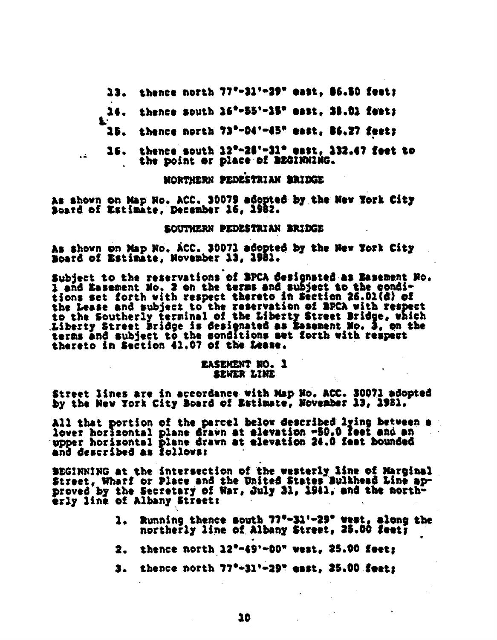13. thence north 77°-31'-29" east, 86.50 feet;

thence south 16°-55'-15° east, 38.01 feet; 14.

- thence north 73°-04'-45" east, 86.27 feet; 15.
- $26.$  thence south  $22^{\circ}-28^{\circ}-31^{\circ}$  east,  $232.47$  feet to the point or place of BEGINNING.

MORTHERN PEDESTRIAN BRIDGE

As shown on Map No. ACC. 30079 adopted by the New York City<br>Soard of Estimate, December 16, 1982.

鱼

 $\ddot{a}$ 

#### SOUTHERN PEDESTRIAN BRIDGE

As shown on Map No. ACC. 30071 adopted by the Mew York City Board of Estimate, November 13, 1981.

Subject to the reservations of BPCA designated as Easement No. 1 and Easement No. 2 on the terms and subject to the conditions set forth with respect thereto in Section 26.01(d) of the Lease and subject to the reservation of SPCA with respect to the Southerly terminal of the Liberty Street Bridge, which Liberty Street Bridge is designated as Easement No. 3, on the terms and subject to the conditions set forth with respect thereto in Section 41.07 of the Lease.

# **EASEMENT NO. 1** SEWER LINE

Street lines are in accordance with Map No. ACC. 30071 adopted by the New York City Board of Estimate, November 13, 1981.

All that portion of the parcel below described lying between a lover horizontal plane drawn at elevation -50.0 feet and an upper horizontal plane drawn at elevation 24.0 feet bounded and described as follows:

SEGINNING at the intersection of the westerly line of Marginal Street, Wharf or Place and the United States Bulkhead Line ap-<br>proved by the Secretary of War, July 31, 1941, and the northerly line of Albany Street:

- 1. Running thence south 77°-31'-29" west, alone the northerly line of Albany Street, 25.00 feet;
- 2. thence north  $22^{\circ} 49^{\circ} 00^{\circ}$  west,  $25.00$  feet;
- thence north 77°-31'-29" east, 25.00 feat: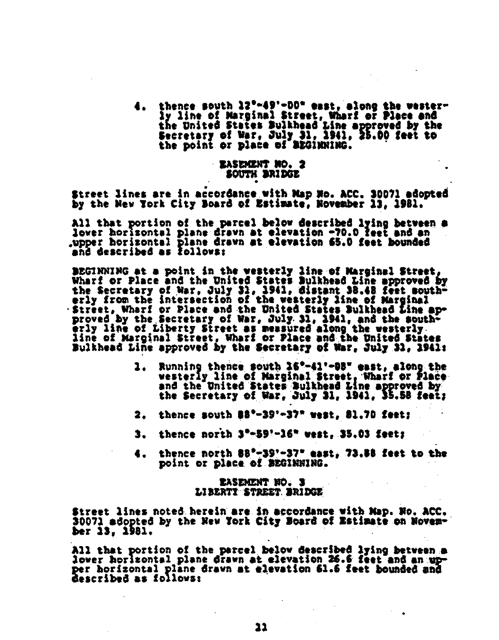thence south 12°-49'-00" east, along the wester-ly line of Marginal Street, Wharf or Place and the United States Bulkhead Line approved by the Secretary of War, July 31, 1941, 25.00 feet to<br>the point or place of BEGINNING.

# - RASEMENT NO. 2 SOUTH BRIDGE

Street lines are in accordance with Map Mo. ACC. 30071 adopted by the New York City Board of Estimate, November 13, 1981.

All that portion of the parcel below described lying between a lover horizontal plane drawn at elevation -70.0 feet and an upper horizontal plane drawn at elevation 65.0 feet bounded<br>and described as follows:

BEGINNING at a point in the westerly line of Marginal Street, Wharf or Place and the United States Bulkhead Line approved by<br>the Secretary of War, July 31, 1941, distant 38.48 feet south-<br>erly from the intersection of the westerly line of Marginal -Street, Wharf or Place and the United States Bulkhead Line ap-<br>proved by the Secretary of War, July 31, 1941, and the south-<br>erly line of Liberty Street as measured along the westerly.<br>line of Marginal Street, Wharf or Pl Bulkhead Line approved by the Secretary of War, July 31, 1941:

- Running thence south 16°-41'-98" east, along the<br>westerly line of Marginal Street, Wharf or Place<br>and the United States Bulkhead Line approved by 1. the Secretary of War, July 31, 1941, 35.58 feet;
- thence south 88°-39'-37" west, 81.70 feet;
- thence north  $3"$ -59'-16" west, 35.03 feet; 3.
- thence north 88°-39'-37" east, 73.88 feet to the 4. point or place of BEGINNING.

# **EASEMENT NO. 3** LIBERTI STREET BRIDGE

Street lines noted herein are in accordance with Map. No. ACC. 30071 adopted by the New York City Board of Estimate on November 13, 1981.

All that portion of the parcel below described lying between a lower horizontal plane drawn at elevation 26.6 feet and an upper horizontal plane drawn at elevation 61.6 feet bounded and described as follows: